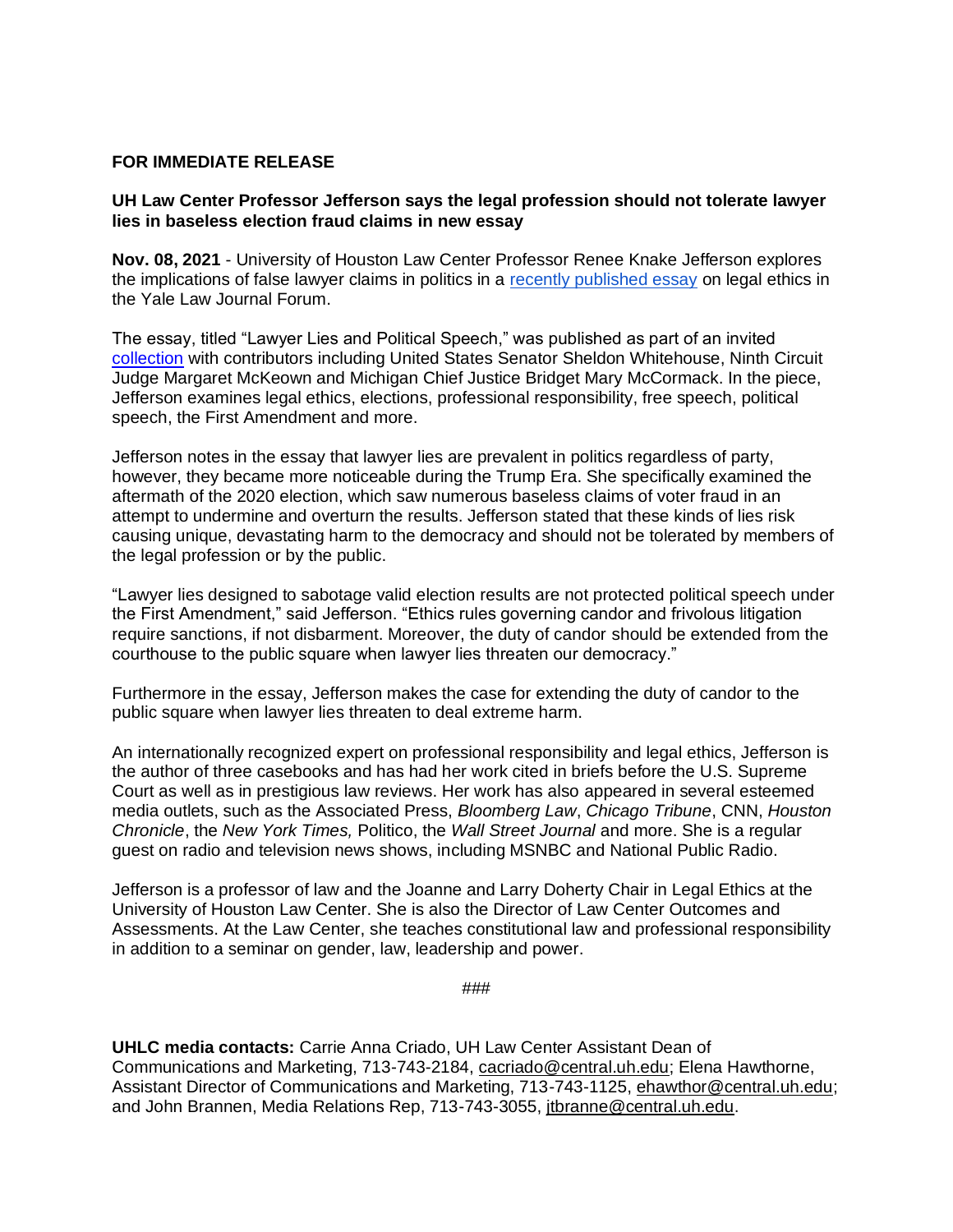## **FOR IMMEDIATE RELEASE**

## **UH Law Center Professor Jefferson says the legal profession should not tolerate lawyer lies in baseless election fraud claims in new essay**

**Nov. 08, 2021** - University of Houston Law Center Professor Renee Knake Jefferson explores the implications of false lawyer claims in politics in a [recently published essay](https://papers.ssrn.com/sol3/papers.cfm?abstract_id=3949078) on legal ethics in the Yale Law Journal Forum.

The essay, titled "Lawyer Lies and Political Speech," was published as part of an invited [collection](https://www.yalelawjournal.org/collection/legal-ethics-collection-131) with contributors including United States Senator Sheldon Whitehouse, Ninth Circuit Judge Margaret McKeown and Michigan Chief Justice Bridget Mary McCormack. In the piece, Jefferson examines legal ethics, elections, professional responsibility, free speech, political speech, the First Amendment and more.

Jefferson notes in the essay that lawyer lies are prevalent in politics regardless of party, however, they became more noticeable during the Trump Era. She specifically examined the aftermath of the 2020 election, which saw numerous baseless claims of voter fraud in an attempt to undermine and overturn the results. Jefferson stated that these kinds of lies risk causing unique, devastating harm to the democracy and should not be tolerated by members of the legal profession or by the public.

"Lawyer lies designed to sabotage valid election results are not protected political speech under the First Amendment," said Jefferson. "Ethics rules governing candor and frivolous litigation require sanctions, if not disbarment. Moreover, the duty of candor should be extended from the courthouse to the public square when lawyer lies threaten our democracy."

Furthermore in the essay, Jefferson makes the case for extending the duty of candor to the public square when lawyer lies threaten to deal extreme harm.

An internationally recognized expert on professional responsibility and legal ethics, Jefferson is the author of three casebooks and has had her work cited in briefs before the U.S. Supreme Court as well as in prestigious law reviews. Her work has also appeared in several esteemed media outlets, such as the Associated Press, *Bloomberg Law*, *Chicago Tribune*, CNN, *Houston Chronicle*, the *New York Times,* Politico, the *Wall Street Journal* and more. She is a regular guest on radio and television news shows, including MSNBC and National Public Radio.

Jefferson is a professor of law and the Joanne and Larry Doherty Chair in Legal Ethics at the University of Houston Law Center. She is also the Director of Law Center Outcomes and Assessments. At the Law Center, she teaches constitutional law and professional responsibility in addition to a seminar on gender, law, leadership and power.

###

**UHLC media contacts:** Carrie Anna Criado, UH Law Center Assistant Dean of Communications and Marketing, 713-743-2184, [cacriado@central.uh.edu;](mailto:cacriado@central.uh.edu) Elena Hawthorne, Assistant Director of Communications and Marketing, 713-743-1125, [ehawthor@central.uh.edu;](mailto:ehawthor@central.uh.edu) and John Brannen, Media Relations Rep, 713-743-3055, [jtbranne@central.uh.edu.](mailto:jtbranne@central.uh.edu)